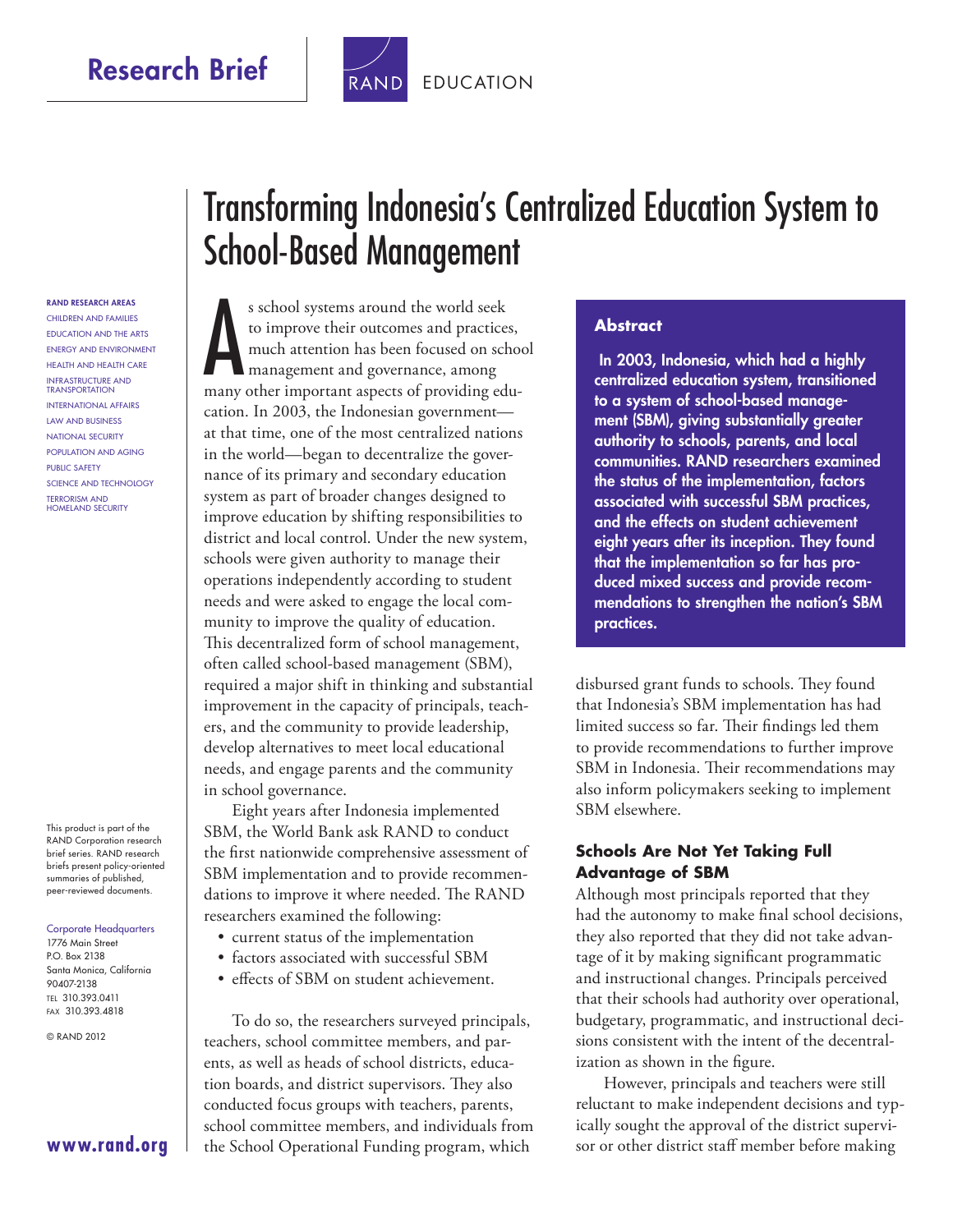

RAND Research areas Children and Families EDUCATION AND THE ARTS ENERGY AND ENVIRONMENT HEALTH AND HEALTH CARE Infrastructure and **TRANSPORTATION** International Affairs Law and Business National Security POPULATION AND AGING Public Safety SCIENCE AND TECHNOLOGY Terrorism and Homeland Security

This product is part of the RAND Corporation research brief series. RAND research briefs present policy-oriented summaries of published, peer-reviewed documents.

Corporate Headquarters 1776 Main Street P.O. Box 2138 Santa Monica, California 90407-2138 Tel 310.393.0411 Fax 310.393.4818

**[www.rand.org](http://www.rand.org)**

© RAND 2012

# Transforming Indonesia's Centralized Education System to School-Based Management

s school systems around the world seek<br>to improve their outcomes and practices,<br>much attention has been focused on school<br>management and governance, among<br>many other important aspects of providing edus school systems around the world seek to improve their outcomes and practices, much attention has been focused on school management and governance, among cation. In 2003, the Indonesian government at that time, one of the most centralized nations in the world—began to decentralize the governance of its primary and secondary education system as part of broader changes designed to improve education by shifting responsibilities to district and local control. Under the new system, schools were given authority to manage their operations independently according to student needs and were asked to engage the local community to improve the quality of education. This decentralized form of school management, often called school-based management (SBM), required a major shift in thinking and substantial improvement in the capacity of principals, teachers, and the community to provide leadership, develop alternatives to meet local educational needs, and engage parents and the community in school governance.

Eight years after Indonesia implemented SBM, the World Bank ask RAND to conduct the first nationwide comprehensive assessment of SBM implementation and to provide recommendations to improve it where needed. The RAND researchers examined the following:

- current status of the implementation
- factors associated with successful SBM
- • effects of SBM on student achievement.

To do so, the researchers surveyed principals, teachers, school committee members, and parents, as well as heads of school districts, education boards, and district supervisors. They also conducted focus groups with teachers, parents, school committee members, and individuals from the School Operational Funding program, which

#### **Abstract**

 In 2003, Indonesia, which had a highly centralized education system, transitioned to a system of school-based management (SBM), giving substantially greater authority to schools, parents, and local communities. RAND researchers examined the status of the implementation, factors associated with successful SBM practices, and the effects on student achievement eight years after its inception. They found that the implementation so far has produced mixed success and provide recommendations to strengthen the nation's SBM practices.

disbursed grant funds to schools. They found that Indonesia's SBM implementation has had limited success so far. Their findings led them to provide recommendations to further improve SBM in Indonesia. Their recommendations may also inform policymakers seeking to implement SBM elsewhere.

#### **Schools Are Not Yet Taking Full Advantage of SBM**

Although most principals reported that they had the autonomy to make final school decisions, they also reported that they did not take advantage of it by making significant programmatic and instructional changes. Principals perceived that their schools had authority over operational, budgetary, programmatic, and instructional decisions consistent with the intent of the decentralization as shown in the figure.

However, principals and teachers were still reluctant to make independent decisions and typically sought the approval of the district supervisor or other district staff member before making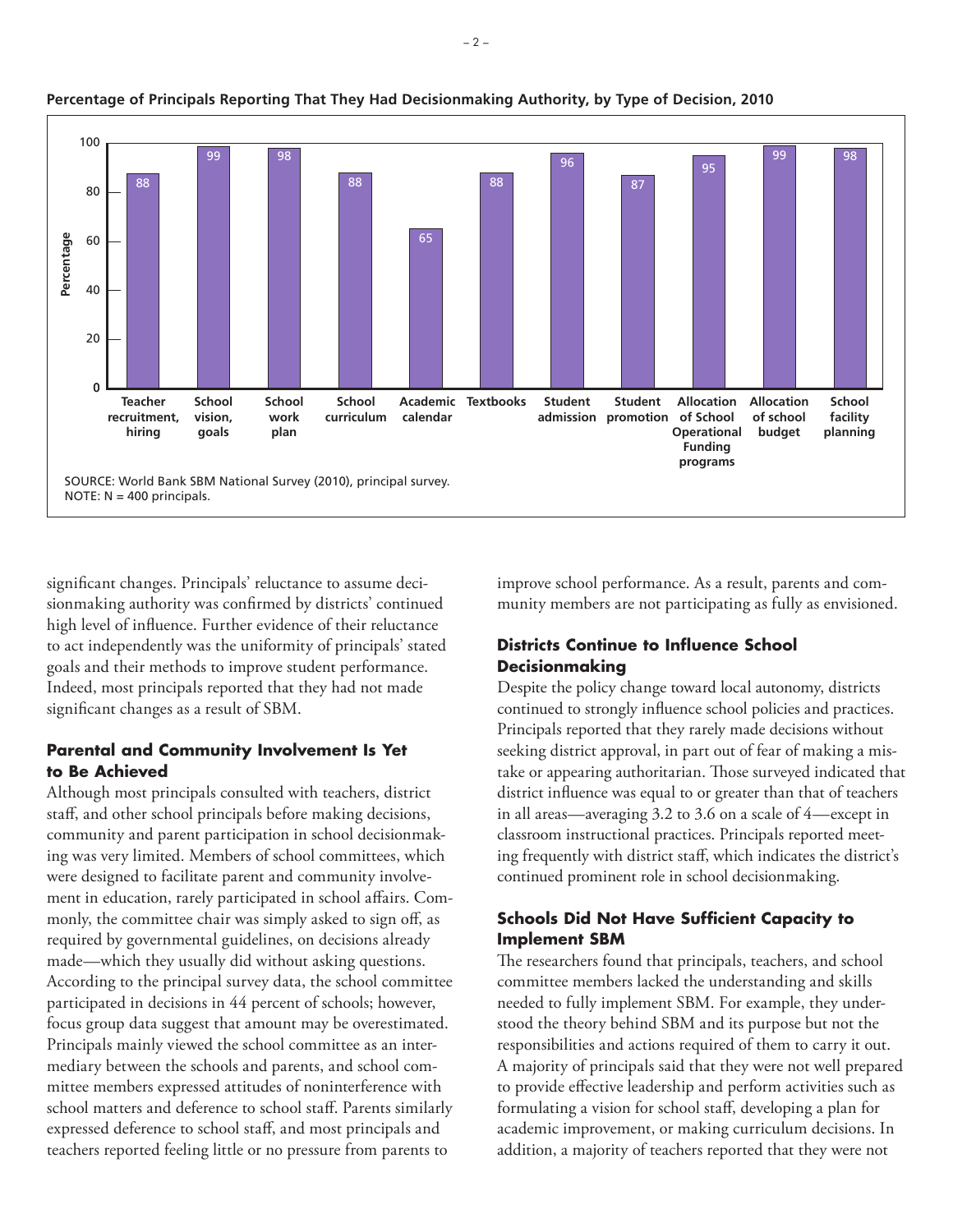

#### **Percentage of Principals Reporting That They Had Decisionmaking Authority, by Type of Decision, 2010**

significant changes. Principals' reluctance to assume decisionmaking authority was confirmed by districts' continued high level of influence. Further evidence of their reluctance to act independently was the uniformity of principals' stated goals and their methods to improve student performance. Indeed, most principals reported that they had not made significant changes as a result of SBM.

#### **Parental and Community Involvement Is Yet to Be Achieved**

Although most principals consulted with teachers, district staff, and other school principals before making decisions, community and parent participation in school decisionmaking was very limited. Members of school committees, which were designed to facilitate parent and community involvement in education, rarely participated in school affairs. Commonly, the committee chair was simply asked to sign off, as required by governmental guidelines, on decisions already made—which they usually did without asking questions. According to the principal survey data, the school committee participated in decisions in 44 percent of schools; however, focus group data suggest that amount may be overestimated. Principals mainly viewed the school committee as an intermediary between the schools and parents, and school committee members expressed attitudes of noninterference with school matters and deference to school staff. Parents similarly expressed deference to school staff, and most principals and teachers reported feeling little or no pressure from parents to

improve school performance. As a result, parents and community members are not participating as fully as envisioned.

#### **Districts Continue to Influence School Decisionmaking**

Despite the policy change toward local autonomy, districts continued to strongly influence school policies and practices. Principals reported that they rarely made decisions without seeking district approval, in part out of fear of making a mistake or appearing authoritarian. Those surveyed indicated that district influence was equal to or greater than that of teachers in all areas—averaging 3.2 to 3.6 on a scale of 4—except in classroom instructional practices. Principals reported meeting frequently with district staff, which indicates the district's continued prominent role in school decisionmaking.

#### **Schools Did Not Have Sufficient Capacity to Implement SBM**

The researchers found that principals, teachers, and school committee members lacked the understanding and skills needed to fully implement SBM. For example, they understood the theory behind SBM and its purpose but not the responsibilities and actions required of them to carry it out. A majority of principals said that they were not well prepared to provide effective leadership and perform activities such as formulating a vision for school staff, developing a plan for academic improvement, or making curriculum decisions. In addition, a majority of teachers reported that they were not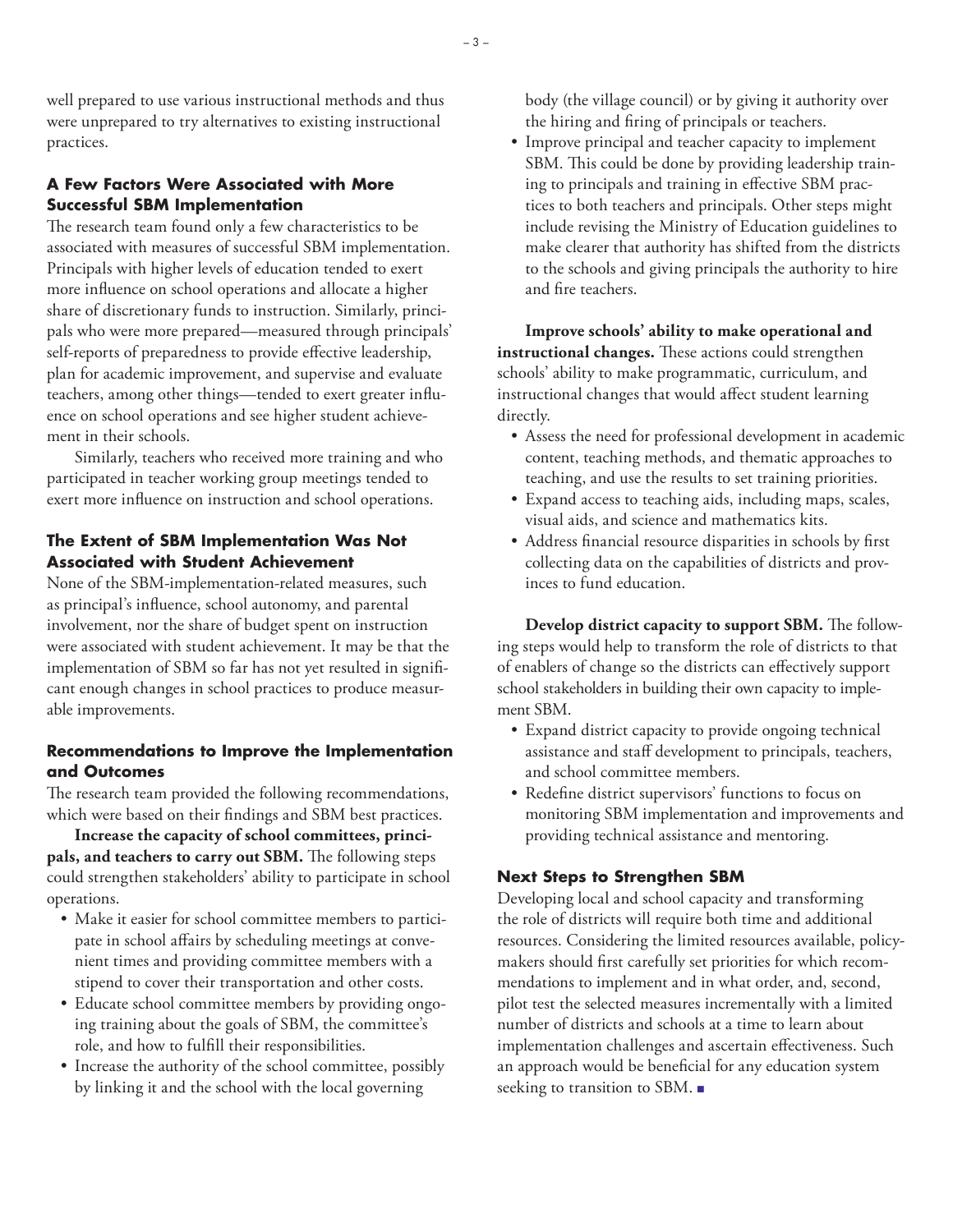well prepared to use various instructional methods and thus were unprepared to try alternatives to existing instructional practices.

#### **A Few Factors Were Associated with More Successful SBM Implementation**

The research team found only a few characteristics to be associated with measures of successful SBM implementation. Principals with higher levels of education tended to exert more influence on school operations and allocate a higher share of discretionary funds to instruction. Similarly, principals who were more prepared—measured through principals' self-reports of preparedness to provide effective leadership, plan for academic improvement, and supervise and evaluate teachers, among other things—tended to exert greater influence on school operations and see higher student achievement in their schools.

Similarly, teachers who received more training and who participated in teacher working group meetings tended to exert more influence on instruction and school operations.

#### **The Extent of SBM Implementation Was Not Associated with Student Achievement**

None of the SBM-implementation-related measures, such as principal's influence, school autonomy, and parental involvement, nor the share of budget spent on instruction were associated with student achievement. It may be that the implementation of SBM so far has not yet resulted in significant enough changes in school practices to produce measurable improvements.

#### **Recommendations to Improve the Implementation and Outcomes**

The research team provided the following recommendations, which were based on their findings and SBM best practices.

**Increase the capacity of school committees, principals, and teachers to carry out SBM.** The following steps could strengthen stakeholders' ability to participate in school operations.

- • Make it easier for school committee members to participate in school affairs by scheduling meetings at convenient times and providing committee members with a stipend to cover their transportation and other costs.
- Educate school committee members by providing ongoing training about the goals of SBM, the committee's role, and how to fulfill their responsibilities.
- • Increase the authority of the school committee, possibly by linking it and the school with the local governing

body (the village council) or by giving it authority over the hiring and firing of principals or teachers.

• Improve principal and teacher capacity to implement SBM. This could be done by providing leadership training to principals and training in effective SBM practices to both teachers and principals. Other steps might include revising the Ministry of Education guidelines to make clearer that authority has shifted from the districts to the schools and giving principals the authority to hire and fire teachers.

**Improve schools' ability to make operational and instructional changes.** These actions could strengthen schools' ability to make programmatic, curriculum, and instructional changes that would affect student learning directly.

- Assess the need for professional development in academic content, teaching methods, and thematic approaches to teaching, and use the results to set training priorities.
- • Expand access to teaching aids, including maps, scales, visual aids, and science and mathematics kits.
- Address financial resource disparities in schools by first collecting data on the capabilities of districts and provinces to fund education.

**Develop district capacity to support SBM.** The following steps would help to transform the role of districts to that of enablers of change so the districts can effectively support school stakeholders in building their own capacity to implement SBM.

- Expand district capacity to provide ongoing technical assistance and staff development to principals, teachers, and school committee members.
- Redefine district supervisors' functions to focus on monitoring SBM implementation and improvements and providing technical assistance and mentoring.

#### **Next Steps to Strengthen SBM**

Developing local and school capacity and transforming the role of districts will require both time and additional resources. Considering the limited resources available, policymakers should first carefully set priorities for which recommendations to implement and in what order, and, second, pilot test the selected measures incrementally with a limited number of districts and schools at a time to learn about implementation challenges and ascertain effectiveness. Such an approach would be beneficial for any education system seeking to transition to SBM. ■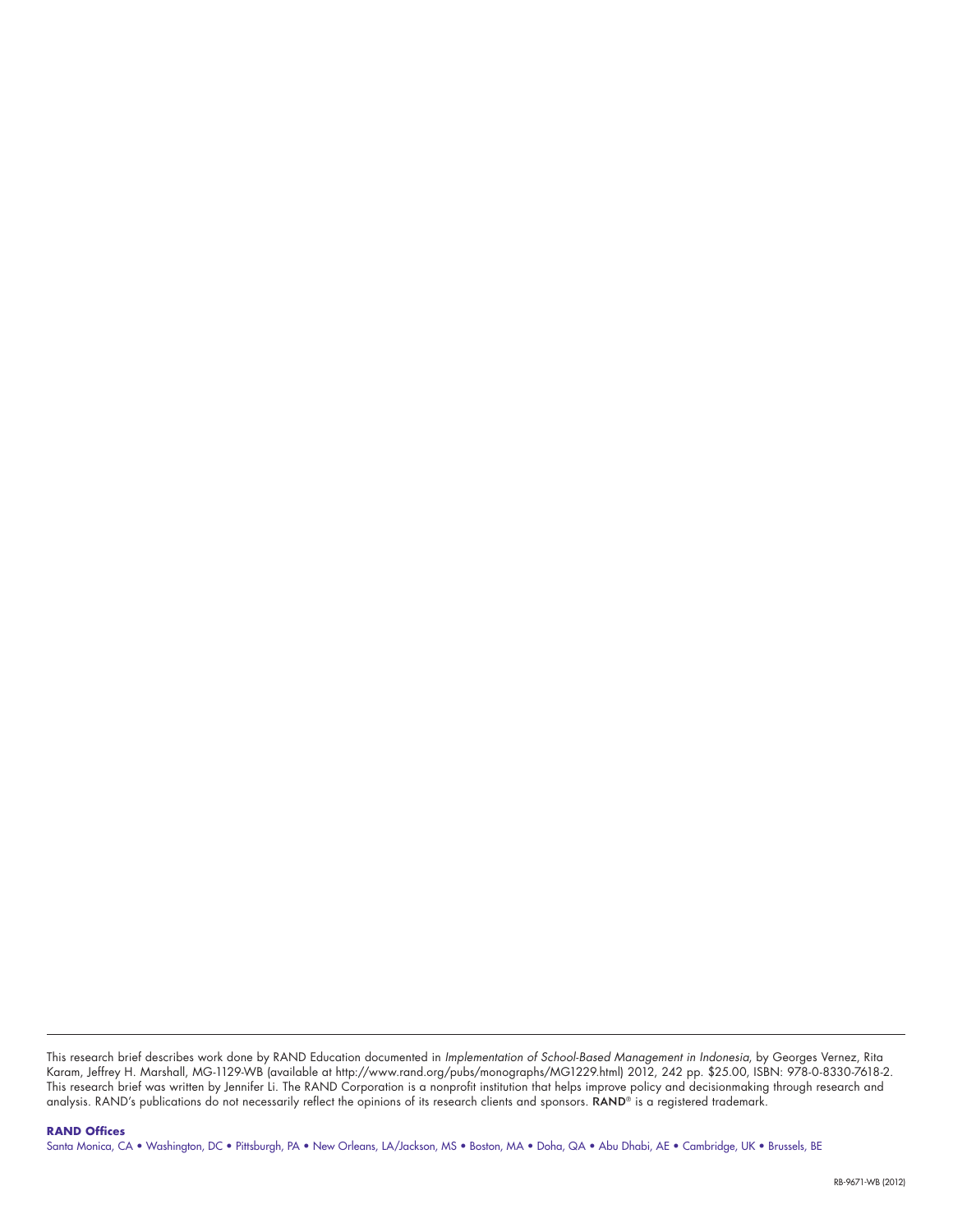**RAND Offices**

Santa Monica, CA • Washington, DC • Pittsburgh, PA • New Orleans, LA/Jackson, MS • Boston, MA • Doha, QA • Abu Dhabi, AE • Cambridge, UK • Brussels, BE

This research brief describes work done by RAND Education documented in *Implementation of School-Based Management in Indonesia*, by Georges Vernez, Rita Karam, Jeffrey H. Marshall, MG-1129-WB (available at [http://www.rand.org/pubs/monographs/MG1229.html\)](http://www.rand.org/pubs/monographs/MG1229.html) 2012, 242 pp. \$25.00, ISBN: 978-0-8330-7618-2. This research brief was written by Jennifer Li. The RAND Corporation is a nonprofit institution that helps improve policy and decisionmaking through research and analysis. RAND's publications do not necessarily reflect the opinions of its research clients and sponsors. RAND® is a registered trademark.